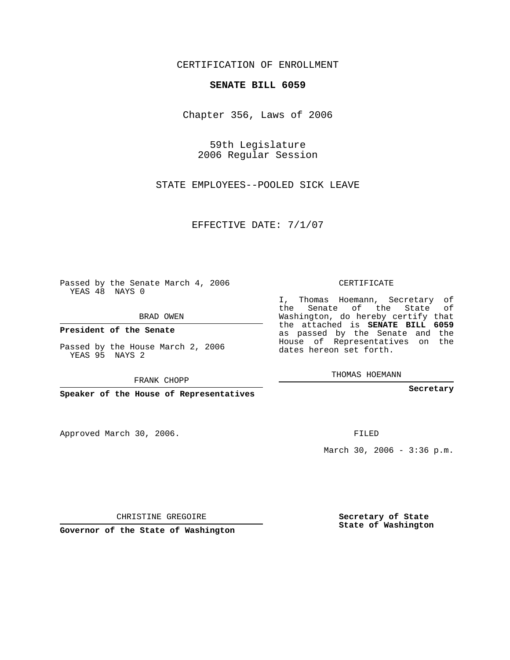CERTIFICATION OF ENROLLMENT

## **SENATE BILL 6059**

Chapter 356, Laws of 2006

59th Legislature 2006 Regular Session

STATE EMPLOYEES--POOLED SICK LEAVE

EFFECTIVE DATE: 7/1/07

Passed by the Senate March 4, 2006 YEAS 48 NAYS 0

BRAD OWEN

**President of the Senate**

Passed by the House March 2, 2006 YEAS 95 NAYS 2

FRANK CHOPP

**Speaker of the House of Representatives**

Approved March 30, 2006.

CERTIFICATE

I, Thomas Hoemann, Secretary of the Senate of the State of Washington, do hereby certify that the attached is **SENATE BILL 6059** as passed by the Senate and the House of Representatives on the dates hereon set forth.

THOMAS HOEMANN

**Secretary**

FILED

March 30, 2006 - 3:36 p.m.

CHRISTINE GREGOIRE

**Governor of the State of Washington**

**Secretary of State State of Washington**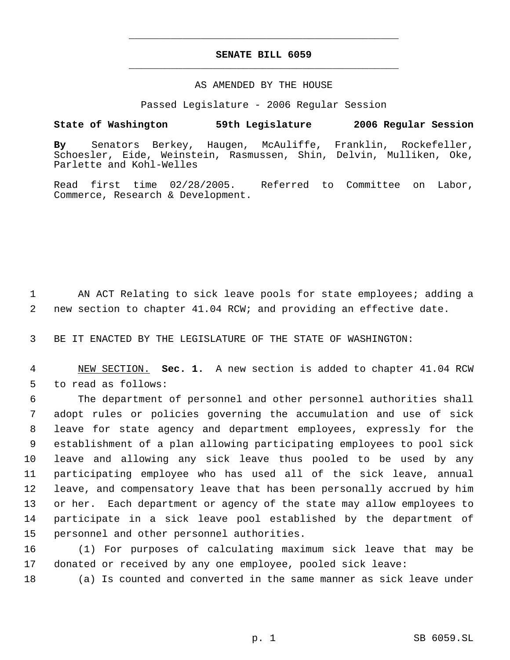## **SENATE BILL 6059** \_\_\_\_\_\_\_\_\_\_\_\_\_\_\_\_\_\_\_\_\_\_\_\_\_\_\_\_\_\_\_\_\_\_\_\_\_\_\_\_\_\_\_\_\_

\_\_\_\_\_\_\_\_\_\_\_\_\_\_\_\_\_\_\_\_\_\_\_\_\_\_\_\_\_\_\_\_\_\_\_\_\_\_\_\_\_\_\_\_\_

## AS AMENDED BY THE HOUSE

Passed Legislature - 2006 Regular Session

## **State of Washington 59th Legislature 2006 Regular Session**

**By** Senators Berkey, Haugen, McAuliffe, Franklin, Rockefeller, Schoesler, Eide, Weinstein, Rasmussen, Shin, Delvin, Mulliken, Oke, Parlette and Kohl-Welles

Read first time 02/28/2005. Referred to Committee on Labor, Commerce, Research & Development.

 1 AN ACT Relating to sick leave pools for state employees; adding a 2 new section to chapter 41.04 RCW; and providing an effective date.

3 BE IT ENACTED BY THE LEGISLATURE OF THE STATE OF WASHINGTON:

 4 NEW SECTION. **Sec. 1.** A new section is added to chapter 41.04 RCW 5 to read as follows:

 The department of personnel and other personnel authorities shall adopt rules or policies governing the accumulation and use of sick leave for state agency and department employees, expressly for the establishment of a plan allowing participating employees to pool sick leave and allowing any sick leave thus pooled to be used by any participating employee who has used all of the sick leave, annual leave, and compensatory leave that has been personally accrued by him or her. Each department or agency of the state may allow employees to participate in a sick leave pool established by the department of personnel and other personnel authorities.

16 (1) For purposes of calculating maximum sick leave that may be 17 donated or received by any one employee, pooled sick leave:

18 (a) Is counted and converted in the same manner as sick leave under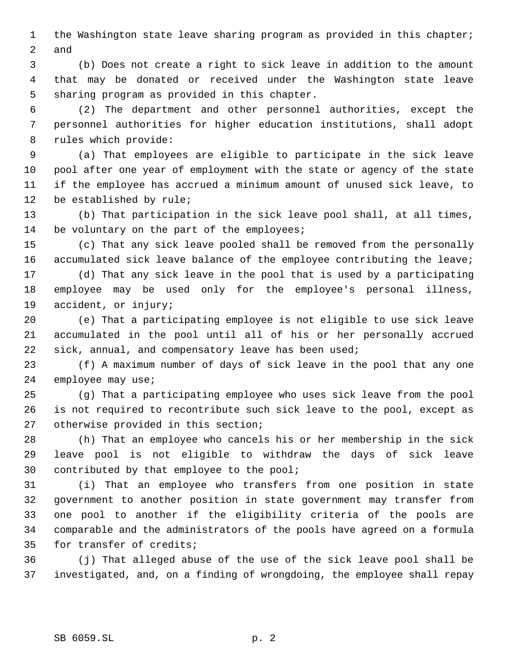the Washington state leave sharing program as provided in this chapter; and

 (b) Does not create a right to sick leave in addition to the amount that may be donated or received under the Washington state leave sharing program as provided in this chapter.

 (2) The department and other personnel authorities, except the personnel authorities for higher education institutions, shall adopt rules which provide:

 (a) That employees are eligible to participate in the sick leave pool after one year of employment with the state or agency of the state if the employee has accrued a minimum amount of unused sick leave, to be established by rule;

 (b) That participation in the sick leave pool shall, at all times, 14 be voluntary on the part of the employees;

 (c) That any sick leave pooled shall be removed from the personally accumulated sick leave balance of the employee contributing the leave;

 (d) That any sick leave in the pool that is used by a participating employee may be used only for the employee's personal illness, accident, or injury;

 (e) That a participating employee is not eligible to use sick leave accumulated in the pool until all of his or her personally accrued sick, annual, and compensatory leave has been used;

 (f) A maximum number of days of sick leave in the pool that any one 24 employee may use;

 (g) That a participating employee who uses sick leave from the pool is not required to recontribute such sick leave to the pool, except as otherwise provided in this section;

 (h) That an employee who cancels his or her membership in the sick leave pool is not eligible to withdraw the days of sick leave contributed by that employee to the pool;

 (i) That an employee who transfers from one position in state government to another position in state government may transfer from one pool to another if the eligibility criteria of the pools are comparable and the administrators of the pools have agreed on a formula for transfer of credits;

 (j) That alleged abuse of the use of the sick leave pool shall be investigated, and, on a finding of wrongdoing, the employee shall repay